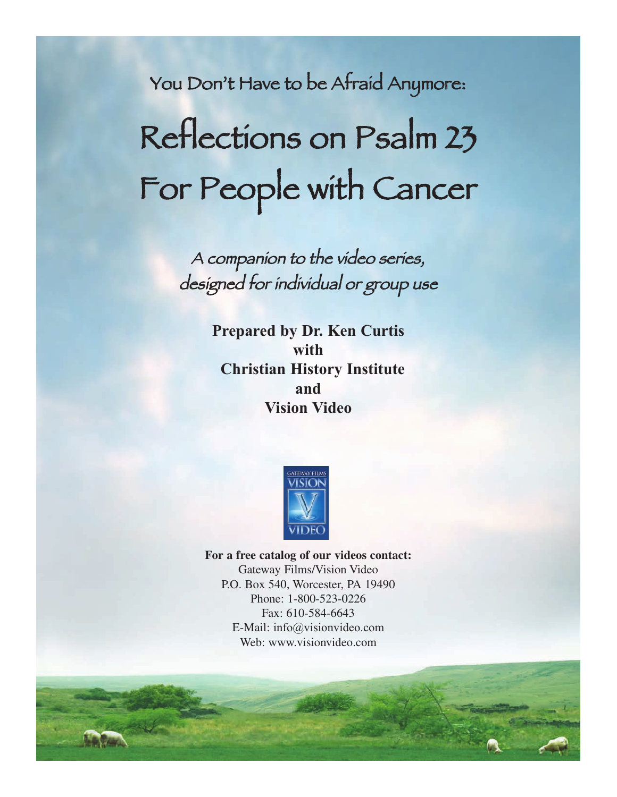You Don't Have to be Afraid Anymore: Reflections on Psalm 23 For People with Cancer

> <sup>A</sup> companion to the video series, designed for individual or group use

> > **Prepared by Dr. Ken Curtis with Christian History Institute and Vision Video**



**For a free catalog of our videos contact:** Gateway Films/Vision Video P.O. Box 540, Worcester, PA 19490 Phone: 1-800-523-0226 Fax: 610-584-6643 E-Mail: info@visionvideo.com Web: www.visionvideo.com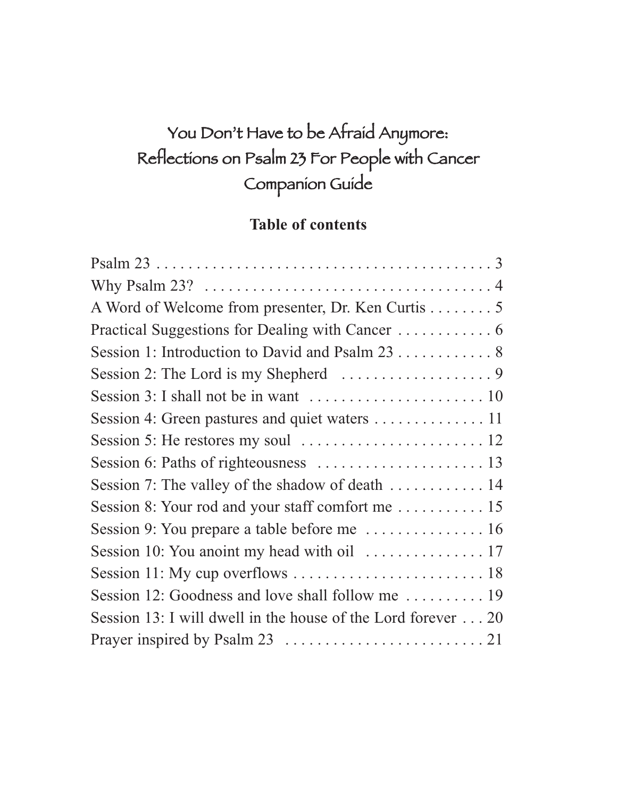## You Don't Have to be Afraid Anymore: Reflections on Psalm 23 For People with Cancer Companion Guide

### **Table of contents**

| A Word of Welcome from presenter, Dr. Ken Curtis 5                                  |
|-------------------------------------------------------------------------------------|
|                                                                                     |
| Session 1: Introduction to David and Psalm 23 8                                     |
|                                                                                     |
|                                                                                     |
| Session 4: Green pastures and quiet waters 11                                       |
|                                                                                     |
| Session 6: Paths of righteousness $\dots \dots \dots \dots \dots \dots \dots \dots$ |
| Session 7: The valley of the shadow of death  14                                    |
|                                                                                     |
|                                                                                     |
|                                                                                     |
|                                                                                     |
|                                                                                     |
| Session 13: I will dwell in the house of the Lord forever 20                        |
|                                                                                     |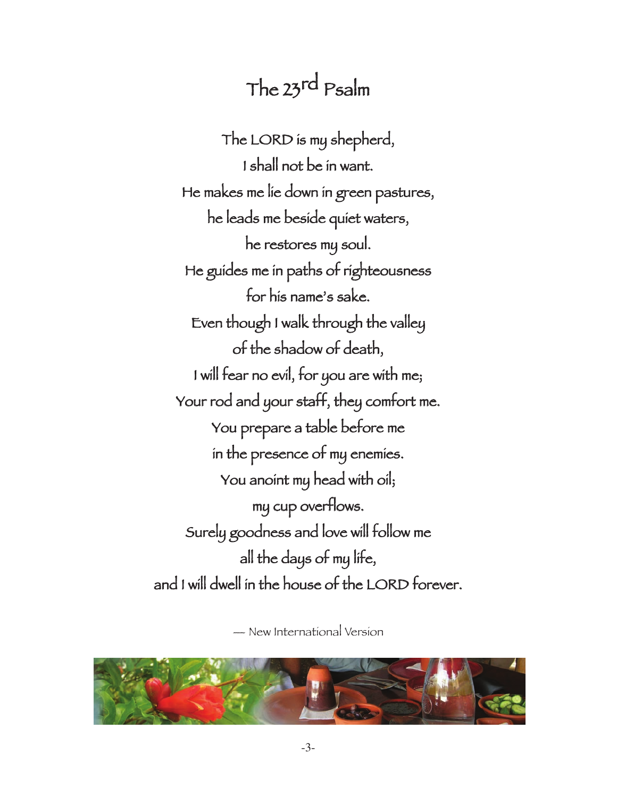## The 23rd Psalm

The LORD is my shepherd, I shall not be in want. He makes me lie down in green pastures, he leads me beside quiet waters, he restores my soul. He guides me in paths of righteousness for his name's sake. Even though I walk through the valley of the shadow of death, I will fear no evil, for you are with me; Your rod and your staff, they comfort me. You prepare a table before me in the presence of my enemies. You anoint my head with oil; my cup overflows. Surely goodness and love will follow me all the days of my life, and I will dwell in the house of the LORD forever.

— New International Version

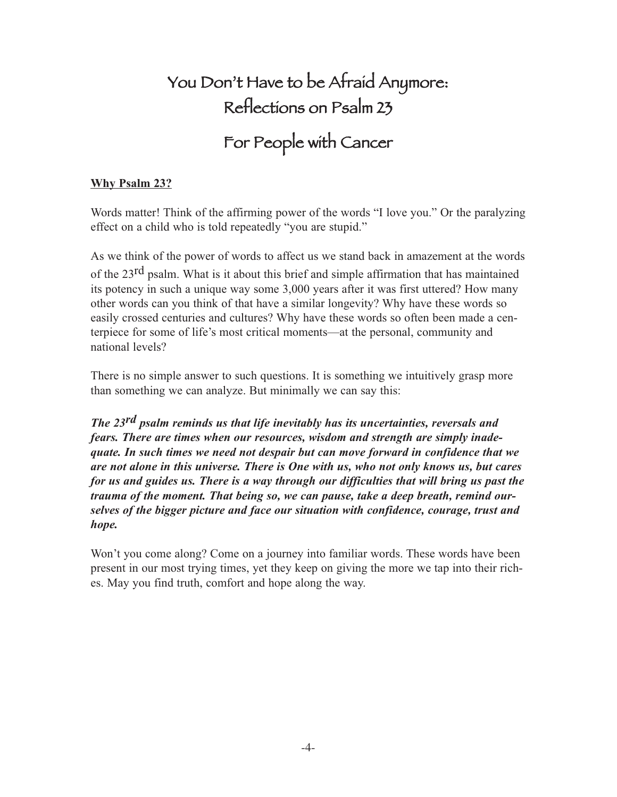# You Don't Have to be Afraid Anymore: Reflections on Psalm 23

# For People with Cancer

### **Why Psalm 23?**

Words matter! Think of the affirming power of the words "I love you." Or the paralyzing effect on a child who is told repeatedly "you are stupid."

As we think of the power of words to affect us we stand back in amazement at the words of the 23<sup>rd</sup> psalm. What is it about this brief and simple affirmation that has maintained its potency in such a unique way some 3,000 years after it was first uttered? How many other words can you think of that have a similar longevity? Why have these words so easily crossed centuries and cultures? Why have these words so often been made a centerpiece for some of life's most critical moments—at the personal, community and national levels?

There is no simple answer to such questions. It is something we intuitively grasp more than something we can analyze. But minimally we can say this:

*The 23rd psalm reminds us that life inevitably has its uncertainties, reversals and fears. There are times when our resources, wisdom and strength are simply inadequate. In such times we need not despair but can move forward in confidence that we are not alone in this universe. There is One with us, who not only knows us, but cares for us and guides us. There is a way through our difficulties that will bring us past the trauma of the moment. That being so, we can pause, take a deep breath, remind ourselves of the bigger picture and face our situation with confidence, courage, trust and hope.*

Won't you come along? Come on a journey into familiar words. These words have been present in our most trying times, yet they keep on giving the more we tap into their riches. May you find truth, comfort and hope along the way.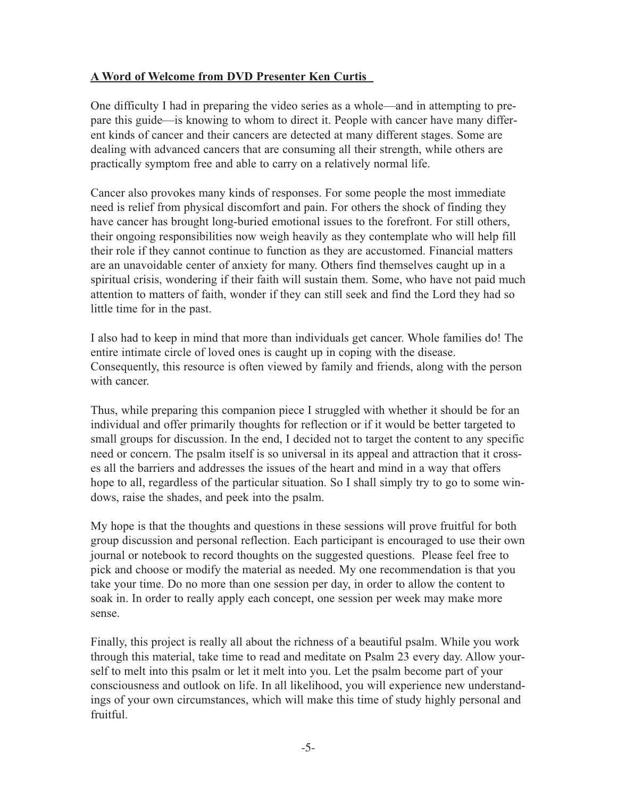### **A Word of Welcome from DVD Presenter Ken Curtis**

One difficulty I had in preparing the video series as a whole—and in attempting to prepare this guide—is knowing to whom to direct it. People with cancer have many different kinds of cancer and their cancers are detected at many different stages. Some are dealing with advanced cancers that are consuming all their strength, while others are practically symptom free and able to carry on a relatively normal life.

Cancer also provokes many kinds of responses. For some people the most immediate need is relief from physical discomfort and pain. For others the shock of finding they have cancer has brought long-buried emotional issues to the forefront. For still others, their ongoing responsibilities now weigh heavily as they contemplate who will help fill their role if they cannot continue to function as they are accustomed. Financial matters are an unavoidable center of anxiety for many. Others find themselves caught up in a spiritual crisis, wondering if their faith will sustain them. Some, who have not paid much attention to matters of faith, wonder if they can still seek and find the Lord they had so little time for in the past.

I also had to keep in mind that more than individuals get cancer. Whole families do! The entire intimate circle of loved ones is caught up in coping with the disease. Consequently, this resource is often viewed by family and friends, along with the person with cancer.

Thus, while preparing this companion piece I struggled with whether it should be for an individual and offer primarily thoughts for reflection or if it would be better targeted to small groups for discussion. In the end, I decided not to target the content to any specific need or concern. The psalm itself is so universal in its appeal and attraction that it crosses all the barriers and addresses the issues of the heart and mind in a way that offers hope to all, regardless of the particular situation. So I shall simply try to go to some windows, raise the shades, and peek into the psalm.

My hope is that the thoughts and questions in these sessions will prove fruitful for both group discussion and personal reflection. Each participant is encouraged to use their own journal or notebook to record thoughts on the suggested questions. Please feel free to pick and choose or modify the material as needed. My one recommendation is that you take your time. Do no more than one session per day, in order to allow the content to soak in. In order to really apply each concept, one session per week may make more sense.

Finally, this project is really all about the richness of a beautiful psalm. While you work through this material, take time to read and meditate on Psalm 23 every day. Allow yourself to melt into this psalm or let it melt into you. Let the psalm become part of your consciousness and outlook on life. In all likelihood, you will experience new understandings of your own circumstances, which will make this time of study highly personal and fruitful.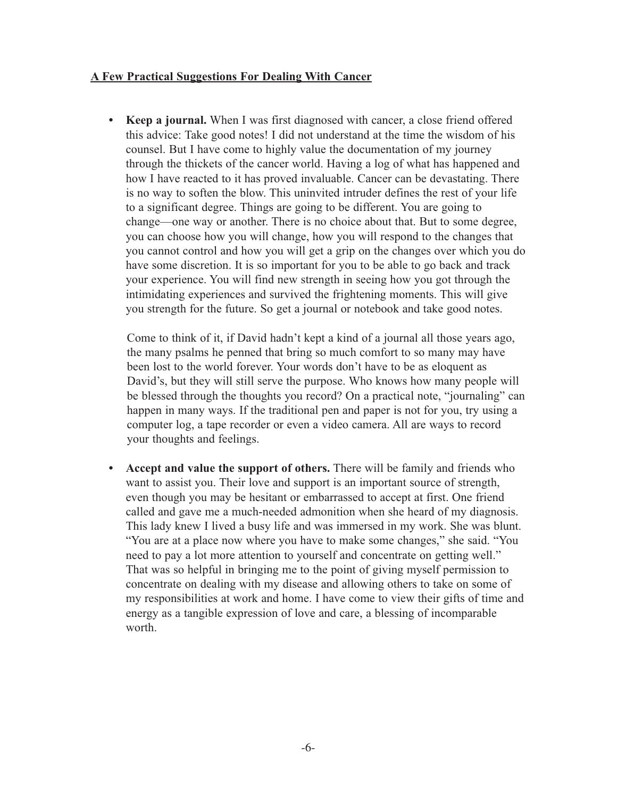#### **A Few Practical Suggestions For Dealing With Cancer**

**• Keep a journal.** When I was first diagnosed with cancer, a close friend offered this advice: Take good notes! I did not understand at the time the wisdom of his counsel. But I have come to highly value the documentation of my journey through the thickets of the cancer world. Having a log of what has happened and how I have reacted to it has proved invaluable. Cancer can be devastating. There is no way to soften the blow. This uninvited intruder defines the rest of your life to a significant degree. Things are going to be different. You are going to change—one way or another. There is no choice about that. But to some degree, you can choose how you will change, how you will respond to the changes that you cannot control and how you will get a grip on the changes over which you do have some discretion. It is so important for you to be able to go back and track your experience. You will find new strength in seeing how you got through the intimidating experiences and survived the frightening moments. This will give you strength for the future. So get a journal or notebook and take good notes.

Come to think of it, if David hadn't kept a kind of a journal all those years ago, the many psalms he penned that bring so much comfort to so many may have been lost to the world forever. Your words don't have to be as eloquent as David's, but they will still serve the purpose. Who knows how many people will be blessed through the thoughts you record? On a practical note, "journaling" can happen in many ways. If the traditional pen and paper is not for you, try using a computer log, a tape recorder or even a video camera. All are ways to record your thoughts and feelings.

**• Accept and value the support of others.** There will be family and friends who want to assist you. Their love and support is an important source of strength, even though you may be hesitant or embarrassed to accept at first. One friend called and gave me a much-needed admonition when she heard of my diagnosis. This lady knew I lived a busy life and was immersed in my work. She was blunt. "You are at a place now where you have to make some changes," she said. "You need to pay a lot more attention to yourself and concentrate on getting well." That was so helpful in bringing me to the point of giving myself permission to concentrate on dealing with my disease and allowing others to take on some of my responsibilities at work and home. I have come to view their gifts of time and energy as a tangible expression of love and care, a blessing of incomparable worth.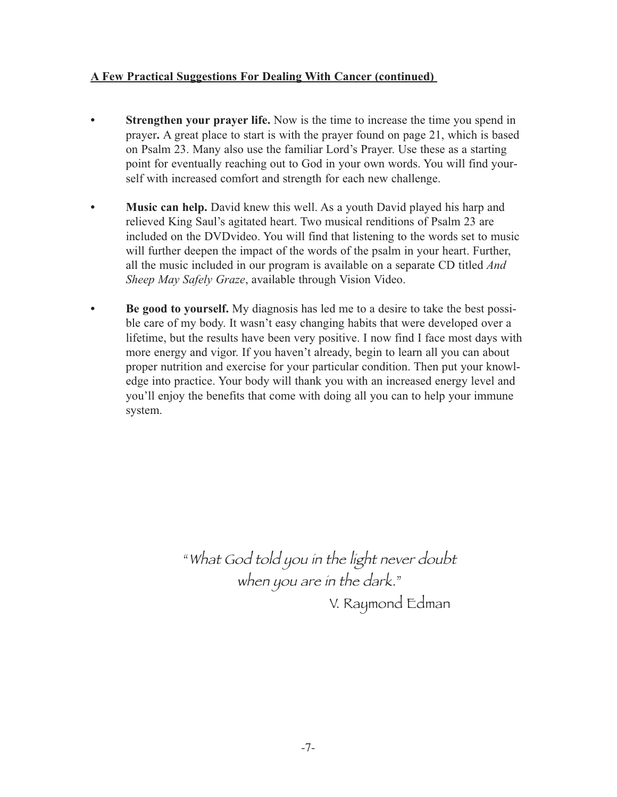### **A Few Practical Suggestions For Dealing With Cancer (continued)**

- **Strengthen your prayer life.** Now is the time to increase the time you spend in prayer**.** A great place to start is with the prayer found on page 21, which is based on Psalm 23. Many also use the familiar Lord's Prayer. Use these as a starting point for eventually reaching out to God in your own words. You will find yourself with increased comfort and strength for each new challenge.
- **Music can help.** David knew this well. As a youth David played his harp and relieved King Saul's agitated heart. Two musical renditions of Psalm 23 are included on the DVDvideo. You will find that listening to the words set to music will further deepen the impact of the words of the psalm in your heart. Further, all the music included in our program is available on a separate CD titled *And Sheep May Safely Graze*, available through Vision Video.
- **Be good to yourself.** My diagnosis has led me to a desire to take the best possible care of my body. It wasn't easy changing habits that were developed over a lifetime, but the results have been very positive. I now find I face most days with more energy and vigor. If you haven't already, begin to learn all you can about proper nutrition and exercise for your particular condition. Then put your knowledge into practice. Your body will thank you with an increased energy level and you'll enjoy the benefits that come with doing all you can to help your immune system.

"What God told you in the light never doubt when you are in the dark." V. Raymond Edman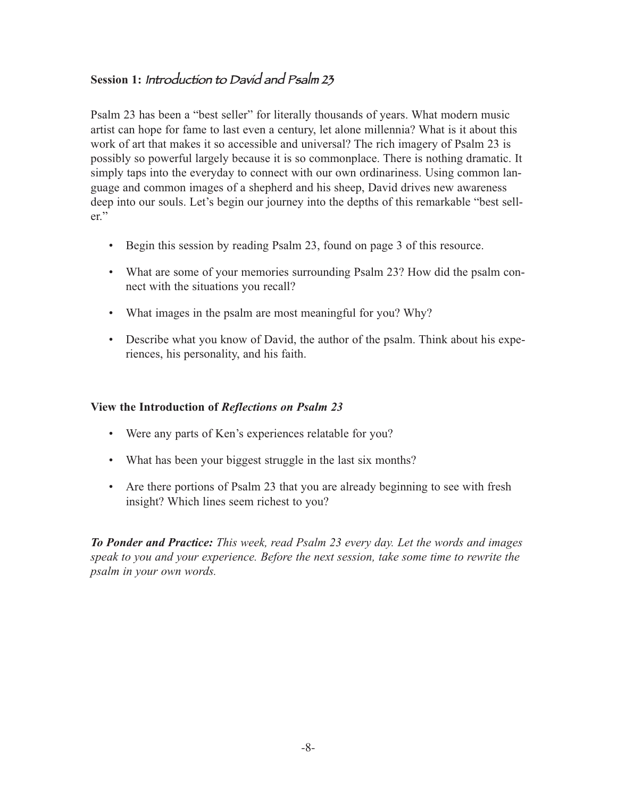### **Session 1:** Introduction to David and Psalm 23

Psalm 23 has been a "best seller" for literally thousands of years. What modern music artist can hope for fame to last even a century, let alone millennia? What is it about this work of art that makes it so accessible and universal? The rich imagery of Psalm 23 is possibly so powerful largely because it is so commonplace. There is nothing dramatic. It simply taps into the everyday to connect with our own ordinariness. Using common language and common images of a shepherd and his sheep, David drives new awareness deep into our souls. Let's begin our journey into the depths of this remarkable "best seller."

- Begin this session by reading Psalm 23, found on page 3 of this resource.
- What are some of your memories surrounding Psalm 23? How did the psalm connect with the situations you recall?
- What images in the psalm are most meaningful for you? Why?
- Describe what you know of David, the author of the psalm. Think about his experiences, his personality, and his faith.

#### **View the Introduction of** *Reflections on Psalm 23*

- Were any parts of Ken's experiences relatable for you?
- What has been your biggest struggle in the last six months?
- Are there portions of Psalm 23 that you are already beginning to see with fresh insight? Which lines seem richest to you?

*To Ponder and Practice: This week, read Psalm 23 every day. Let the words and images speak to you and your experience. Before the next session, take some time to rewrite the psalm in your own words.*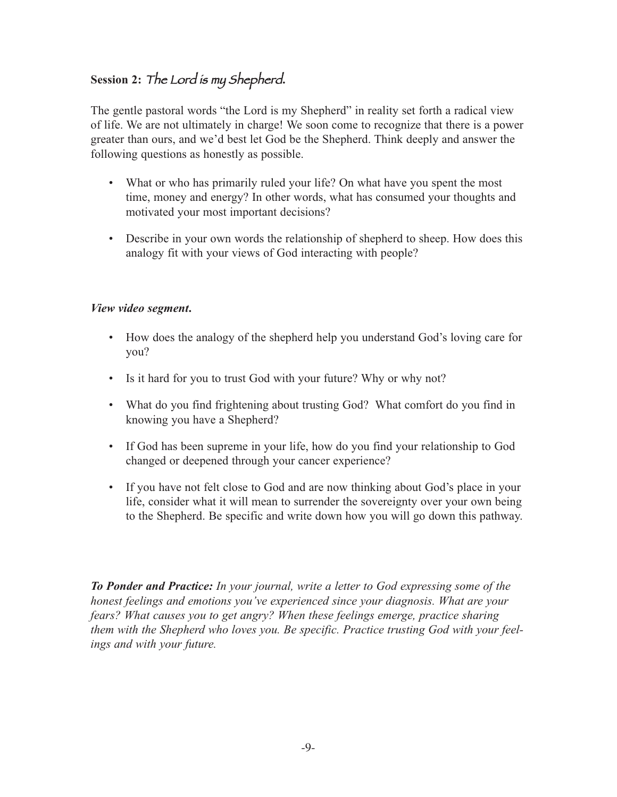### **Session 2:** The Lord is my Shepherd**.**

The gentle pastoral words "the Lord is my Shepherd" in reality set forth a radical view of life. We are not ultimately in charge! We soon come to recognize that there is a power greater than ours, and we'd best let God be the Shepherd. Think deeply and answer the following questions as honestly as possible.

- What or who has primarily ruled your life? On what have you spent the most time, money and energy? In other words, what has consumed your thoughts and motivated your most important decisions?
- Describe in your own words the relationship of shepherd to sheep. How does this analogy fit with your views of God interacting with people?

### *View video segment***.**

- How does the analogy of the shepherd help you understand God's loving care for you?
- Is it hard for you to trust God with your future? Why or why not?
- What do you find frightening about trusting God? What comfort do you find in knowing you have a Shepherd?
- If God has been supreme in your life, how do you find your relationship to God changed or deepened through your cancer experience?
- If you have not felt close to God and are now thinking about God's place in your life, consider what it will mean to surrender the sovereignty over your own being to the Shepherd. Be specific and write down how you will go down this pathway.

*To Ponder and Practice: In your journal, write a letter to God expressing some of the honest feelings and emotions you've experienced since your diagnosis. What are your fears? What causes you to get angry? When these feelings emerge, practice sharing them with the Shepherd who loves you. Be specific. Practice trusting God with your feelings and with your future.*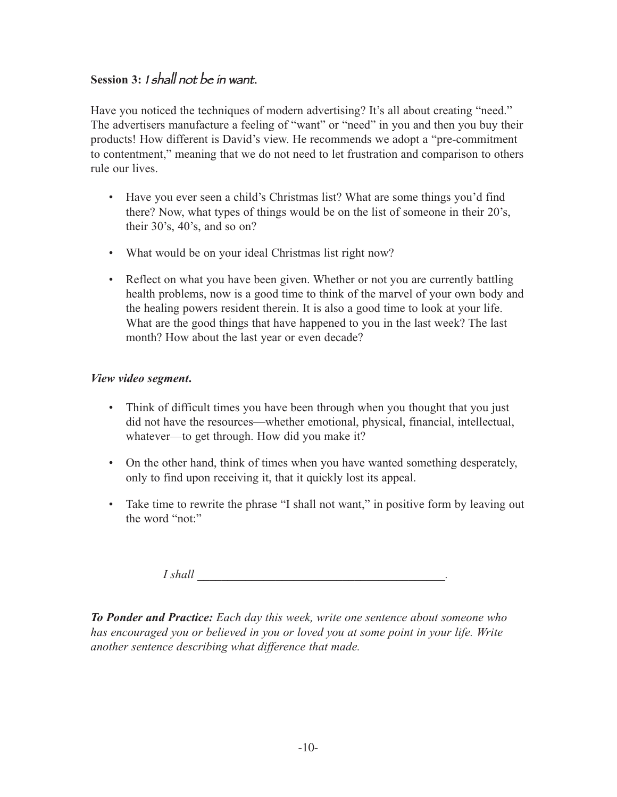### **Session 3:** <sup>I</sup> shall not be in want.

Have you noticed the techniques of modern advertising? It's all about creating "need." The advertisers manufacture a feeling of "want" or "need" in you and then you buy their products! How different is David's view. He recommends we adopt a "pre-commitment to contentment," meaning that we do not need to let frustration and comparison to others rule our lives.

- Have you ever seen a child's Christmas list? What are some things you'd find there? Now, what types of things would be on the list of someone in their 20's, their 30's, 40's, and so on?
- What would be on your ideal Christmas list right now?
- Reflect on what you have been given. Whether or not you are currently battling health problems, now is a good time to think of the marvel of your own body and the healing powers resident therein. It is also a good time to look at your life. What are the good things that have happened to you in the last week? The last month? How about the last year or even decade?

### *View video segment***.**

- Think of difficult times you have been through when you thought that you just did not have the resources—whether emotional, physical, financial, intellectual, whatever—to get through. How did you make it?
- On the other hand, think of times when you have wanted something desperately, only to find upon receiving it, that it quickly lost its appeal.
- Take time to rewrite the phrase "I shall not want," in positive form by leaving out the word "not."

*I* shall

*To Ponder and Practice: Each day this week, write one sentence about someone who has encouraged you or believed in you or loved you at some point in your life. Write another sentence describing what difference that made.*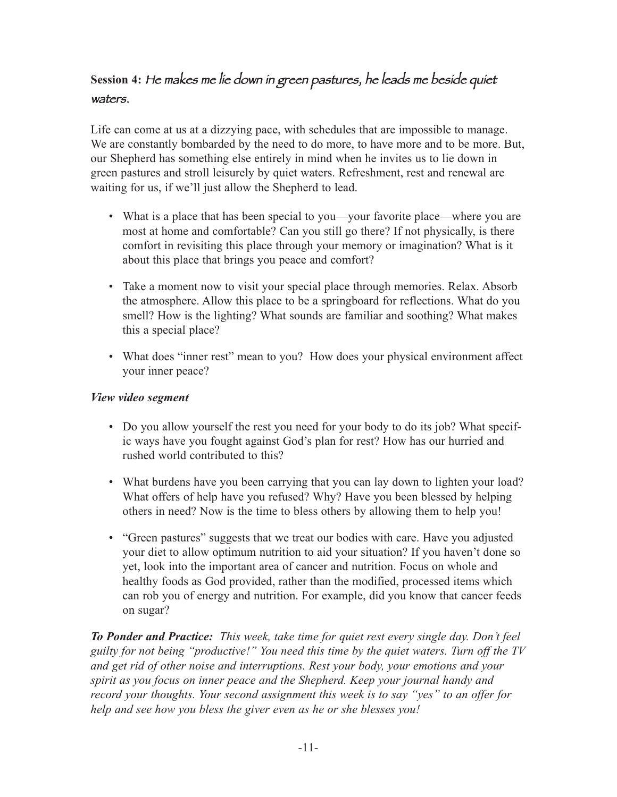### **Session 4:** He makes me lie down in green pastures, he leads me beside quiet waters.

Life can come at us at a dizzying pace, with schedules that are impossible to manage. We are constantly bombarded by the need to do more, to have more and to be more. But, our Shepherd has something else entirely in mind when he invites us to lie down in green pastures and stroll leisurely by quiet waters. Refreshment, rest and renewal are waiting for us, if we'll just allow the Shepherd to lead.

- What is a place that has been special to you—your favorite place—where you are most at home and comfortable? Can you still go there? If not physically, is there comfort in revisiting this place through your memory or imagination? What is it about this place that brings you peace and comfort?
- Take a moment now to visit your special place through memories. Relax. Absorb the atmosphere. Allow this place to be a springboard for reflections. What do you smell? How is the lighting? What sounds are familiar and soothing? What makes this a special place?
- What does "inner rest" mean to you? How does your physical environment affect your inner peace?

### *View video segment*

- Do you allow yourself the rest you need for your body to do its job? What specific ways have you fought against God's plan for rest? How has our hurried and rushed world contributed to this?
- What burdens have you been carrying that you can lay down to lighten your load? What offers of help have you refused? Why? Have you been blessed by helping others in need? Now is the time to bless others by allowing them to help you!
- "Green pastures" suggests that we treat our bodies with care. Have you adjusted your diet to allow optimum nutrition to aid your situation? If you haven't done so yet, look into the important area of cancer and nutrition. Focus on whole and healthy foods as God provided, rather than the modified, processed items which can rob you of energy and nutrition. For example, did you know that cancer feeds on sugar?

*To Ponder and Practice: This week, take time for quiet rest every single day. Don't feel guilty for not being "productive!" You need this time by the quiet waters. Turn off the TV and get rid of other noise and interruptions. Rest your body, your emotions and your spirit as you focus on inner peace and the Shepherd. Keep your journal handy and record your thoughts. Your second assignment this week is to say "yes" to an offer for help and see how you bless the giver even as he or she blesses you!*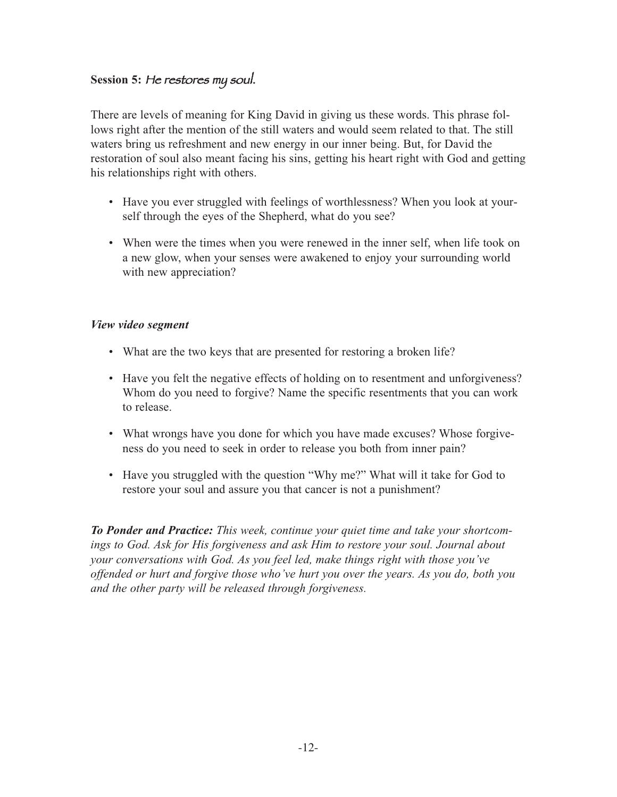### **Session 5:** He restores my soul.

There are levels of meaning for King David in giving us these words. This phrase follows right after the mention of the still waters and would seem related to that. The still waters bring us refreshment and new energy in our inner being. But, for David the restoration of soul also meant facing his sins, getting his heart right with God and getting his relationships right with others.

- Have you ever struggled with feelings of worthlessness? When you look at yourself through the eyes of the Shepherd, what do you see?
- When were the times when you were renewed in the inner self, when life took on a new glow, when your senses were awakened to enjoy your surrounding world with new appreciation?

#### *View video segment*

- What are the two keys that are presented for restoring a broken life?
- Have you felt the negative effects of holding on to resentment and unforgiveness? Whom do you need to forgive? Name the specific resentments that you can work to release.
- What wrongs have you done for which you have made excuses? Whose forgiveness do you need to seek in order to release you both from inner pain?
- Have you struggled with the question "Why me?" What will it take for God to restore your soul and assure you that cancer is not a punishment?

*To Ponder and Practice: This week, continue your quiet time and take your shortcomings to God. Ask for His forgiveness and ask Him to restore your soul. Journal about your conversations with God. As you feel led, make things right with those you've offended or hurt and forgive those who've hurt you over the years. As you do, both you and the other party will be released through forgiveness.*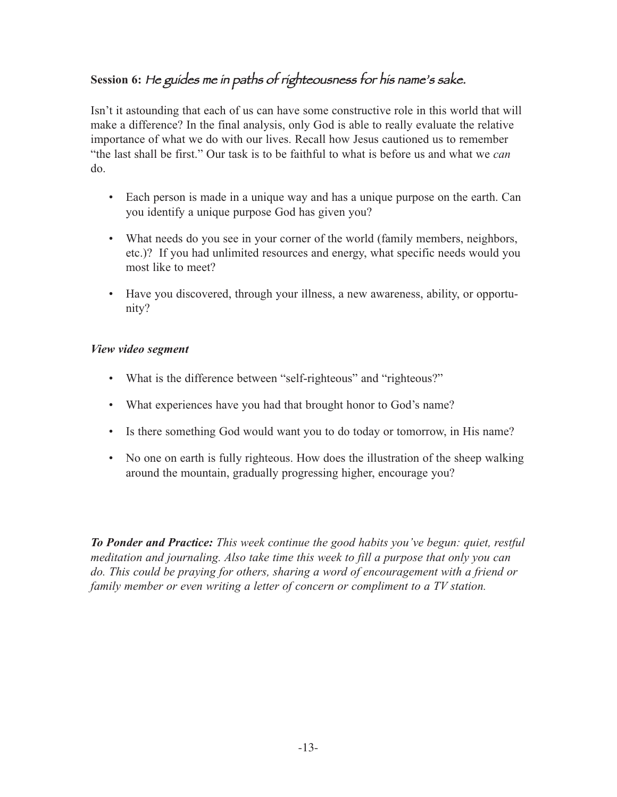### **Session 6:** He guides me in paths of righteousness for his name's sake.

Isn't it astounding that each of us can have some constructive role in this world that will make a difference? In the final analysis, only God is able to really evaluate the relative importance of what we do with our lives. Recall how Jesus cautioned us to remember "the last shall be first." Our task is to be faithful to what is before us and what we *can* do.

- Each person is made in a unique way and has a unique purpose on the earth. Can you identify a unique purpose God has given you?
- What needs do you see in your corner of the world (family members, neighbors, etc.)? If you had unlimited resources and energy, what specific needs would you most like to meet?
- Have you discovered, through your illness, a new awareness, ability, or opportunity?

### *View video segment*

- What is the difference between "self-righteous" and "righteous?"
- What experiences have you had that brought honor to God's name?
- Is there something God would want you to do today or tomorrow, in His name?
- No one on earth is fully righteous. How does the illustration of the sheep walking around the mountain, gradually progressing higher, encourage you?

*To Ponder and Practice: This week continue the good habits you've begun: quiet, restful meditation and journaling. Also take time this week to fill a purpose that only you can do. This could be praying for others, sharing a word of encouragement with a friend or family member or even writing a letter of concern or compliment to a TV station.*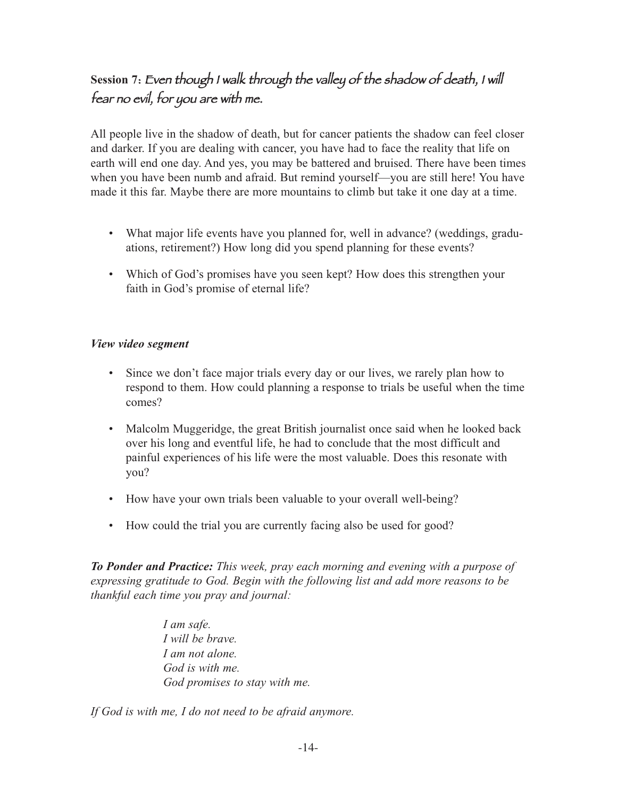### **Session 7**: Even though <sup>I</sup> walk through the valley of the shadow of death, <sup>I</sup> will fear no evil, for you are with me.

All people live in the shadow of death, but for cancer patients the shadow can feel closer and darker. If you are dealing with cancer, you have had to face the reality that life on earth will end one day. And yes, you may be battered and bruised. There have been times when you have been numb and afraid. But remind yourself—you are still here! You have made it this far. Maybe there are more mountains to climb but take it one day at a time.

- What major life events have you planned for, well in advance? (weddings, graduations, retirement?) How long did you spend planning for these events?
- Which of God's promises have you seen kept? How does this strengthen your faith in God's promise of eternal life?

#### *View video segment*

- Since we don't face major trials every day or our lives, we rarely plan how to respond to them. How could planning a response to trials be useful when the time comes?
- Malcolm Muggeridge, the great British journalist once said when he looked back over his long and eventful life, he had to conclude that the most difficult and painful experiences of his life were the most valuable. Does this resonate with you?
- How have your own trials been valuable to your overall well-being?
- How could the trial you are currently facing also be used for good?

*To Ponder and Practice: This week, pray each morning and evening with a purpose of expressing gratitude to God. Begin with the following list and add more reasons to be thankful each time you pray and journal:* 

> *I am safe. I will be brave. I am not alone. God is with me. God promises to stay with me.*

*If God is with me, I do not need to be afraid anymore.*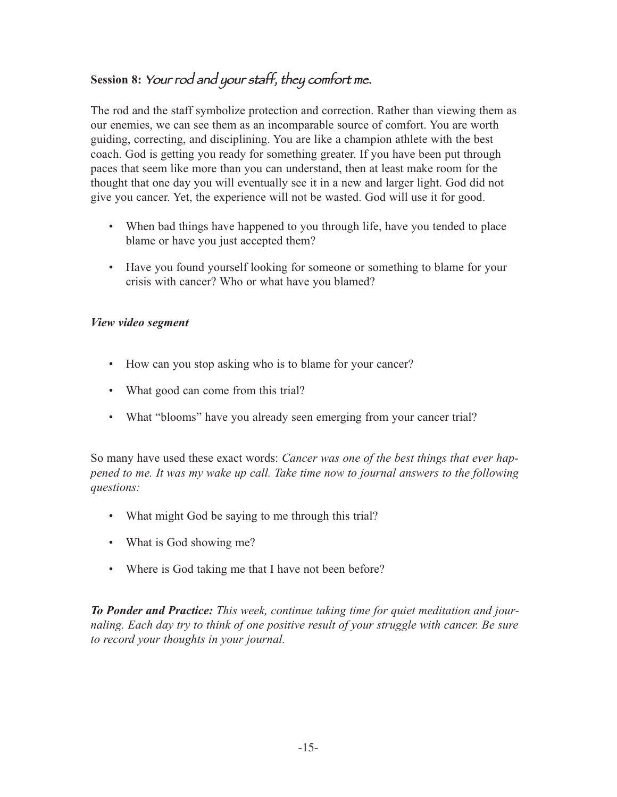### **Session 8:** Your rod and your staff, they comfort me.

The rod and the staff symbolize protection and correction. Rather than viewing them as our enemies, we can see them as an incomparable source of comfort. You are worth guiding, correcting, and disciplining. You are like a champion athlete with the best coach. God is getting you ready for something greater. If you have been put through paces that seem like more than you can understand, then at least make room for the thought that one day you will eventually see it in a new and larger light. God did not give you cancer. Yet, the experience will not be wasted. God will use it for good.

- When bad things have happened to you through life, have you tended to place blame or have you just accepted them?
- Have you found yourself looking for someone or something to blame for your crisis with cancer? Who or what have you blamed?

### *View video segment*

- How can you stop asking who is to blame for your cancer?
- What good can come from this trial?
- What "blooms" have you already seen emerging from your cancer trial?

So many have used these exact words: *Cancer was one of the best things that ever happened to me. It was my wake up call. Take time now to journal answers to the following questions:* 

- What might God be saying to me through this trial?
- What is God showing me?
- Where is God taking me that I have not been before?

*To Ponder and Practice: This week, continue taking time for quiet meditation and journaling. Each day try to think of one positive result of your struggle with cancer. Be sure to record your thoughts in your journal.*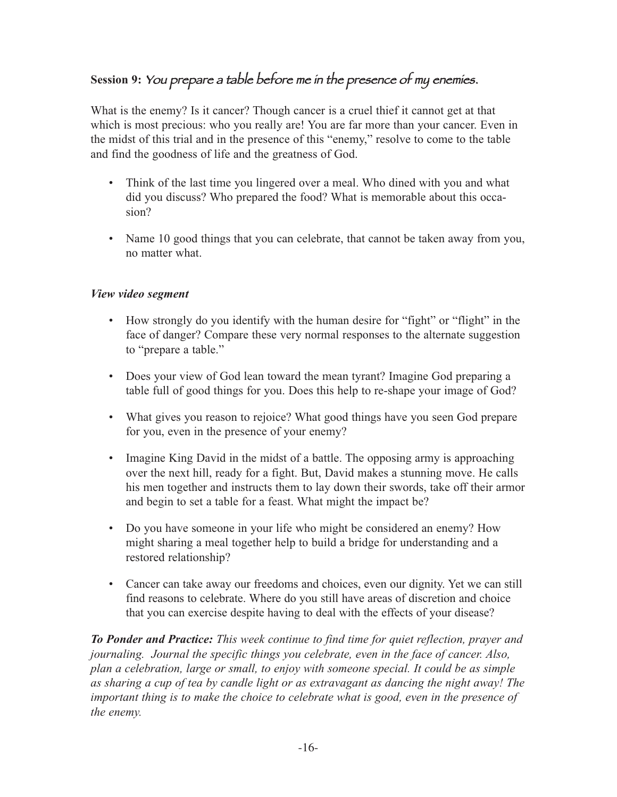### **Session 9:** You prepare <sup>a</sup> table before me in the presence of my enemies.

What is the enemy? Is it cancer? Though cancer is a cruel thief it cannot get at that which is most precious: who you really are! You are far more than your cancer. Even in the midst of this trial and in the presence of this "enemy," resolve to come to the table and find the goodness of life and the greatness of God.

- Think of the last time you lingered over a meal. Who dined with you and what did you discuss? Who prepared the food? What is memorable about this occasion?
- Name 10 good things that you can celebrate, that cannot be taken away from you, no matter what.

### *View video segment*

- How strongly do you identify with the human desire for "fight" or "flight" in the face of danger? Compare these very normal responses to the alternate suggestion to "prepare a table."
- Does your view of God lean toward the mean tyrant? Imagine God preparing a table full of good things for you. Does this help to re-shape your image of God?
- What gives you reason to rejoice? What good things have you seen God prepare for you, even in the presence of your enemy?
- Imagine King David in the midst of a battle. The opposing army is approaching over the next hill, ready for a fight. But, David makes a stunning move. He calls his men together and instructs them to lay down their swords, take off their armor and begin to set a table for a feast. What might the impact be?
- Do you have someone in your life who might be considered an enemy? How might sharing a meal together help to build a bridge for understanding and a restored relationship?
- Cancer can take away our freedoms and choices, even our dignity. Yet we can still find reasons to celebrate. Where do you still have areas of discretion and choice that you can exercise despite having to deal with the effects of your disease?

*To Ponder and Practice: This week continue to find time for quiet reflection, prayer and journaling. Journal the specific things you celebrate, even in the face of cancer. Also, plan a celebration, large or small, to enjoy with someone special. It could be as simple as sharing a cup of tea by candle light or as extravagant as dancing the night away! The important thing is to make the choice to celebrate what is good, even in the presence of the enemy.*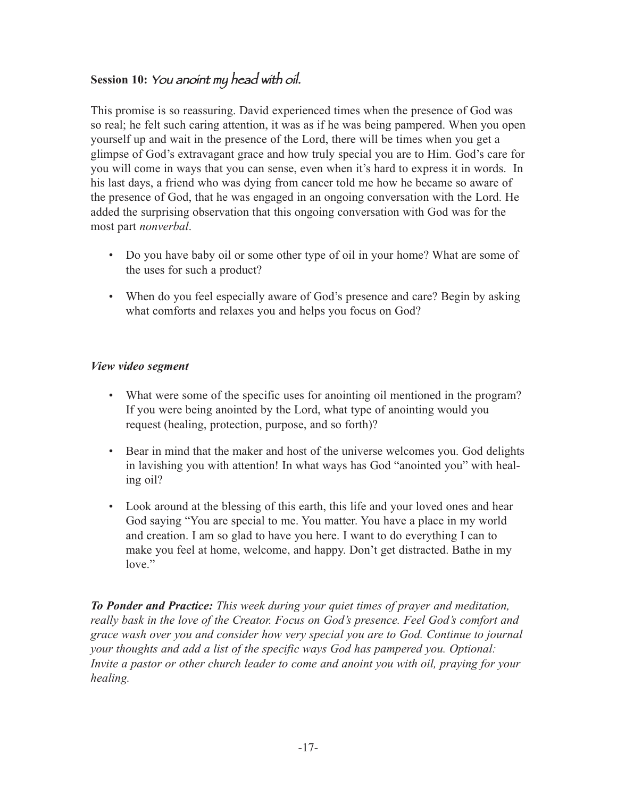### **Session 10:** You anoint my head with oil.

This promise is so reassuring. David experienced times when the presence of God was so real; he felt such caring attention, it was as if he was being pampered. When you open yourself up and wait in the presence of the Lord, there will be times when you get a glimpse of God's extravagant grace and how truly special you are to Him. God's care for you will come in ways that you can sense, even when it's hard to express it in words. In his last days, a friend who was dying from cancer told me how he became so aware of the presence of God, that he was engaged in an ongoing conversation with the Lord. He added the surprising observation that this ongoing conversation with God was for the most part *nonverbal*.

- Do you have baby oil or some other type of oil in your home? What are some of the uses for such a product?
- When do you feel especially aware of God's presence and care? Begin by asking what comforts and relaxes you and helps you focus on God?

### *View video segment*

- What were some of the specific uses for anointing oil mentioned in the program? If you were being anointed by the Lord, what type of anointing would you request (healing, protection, purpose, and so forth)?
- Bear in mind that the maker and host of the universe welcomes you. God delights in lavishing you with attention! In what ways has God "anointed you" with healing oil?
- Look around at the blessing of this earth, this life and your loved ones and hear God saying "You are special to me. You matter. You have a place in my world and creation. I am so glad to have you here. I want to do everything I can to make you feel at home, welcome, and happy. Don't get distracted. Bathe in my love."

*To Ponder and Practice: This week during your quiet times of prayer and meditation, really bask in the love of the Creator. Focus on God's presence. Feel God's comfort and grace wash over you and consider how very special you are to God. Continue to journal your thoughts and add a list of the specific ways God has pampered you. Optional: Invite a pastor or other church leader to come and anoint you with oil, praying for your healing.*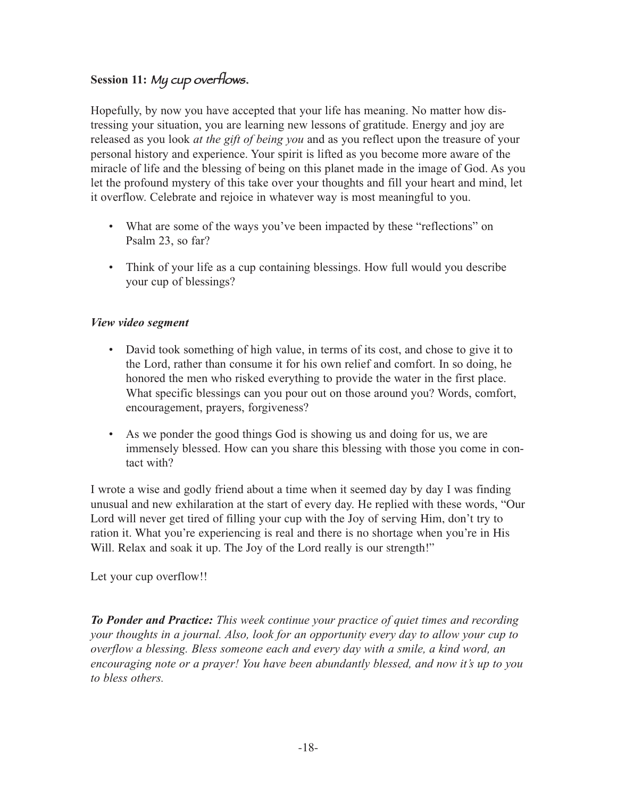### **Session 11:** My cup overflows.

Hopefully, by now you have accepted that your life has meaning. No matter how distressing your situation, you are learning new lessons of gratitude. Energy and joy are released as you look *at the gift of being you* and as you reflect upon the treasure of your personal history and experience. Your spirit is lifted as you become more aware of the miracle of life and the blessing of being on this planet made in the image of God. As you let the profound mystery of this take over your thoughts and fill your heart and mind, let it overflow. Celebrate and rejoice in whatever way is most meaningful to you.

- What are some of the ways you've been impacted by these "reflections" on Psalm 23, so far?
- Think of your life as a cup containing blessings. How full would you describe your cup of blessings?

### *View video segment*

- David took something of high value, in terms of its cost, and chose to give it to the Lord, rather than consume it for his own relief and comfort. In so doing, he honored the men who risked everything to provide the water in the first place. What specific blessings can you pour out on those around you? Words, comfort, encouragement, prayers, forgiveness?
- As we ponder the good things God is showing us and doing for us, we are immensely blessed. How can you share this blessing with those you come in contact with?

I wrote a wise and godly friend about a time when it seemed day by day I was finding unusual and new exhilaration at the start of every day. He replied with these words, "Our Lord will never get tired of filling your cup with the Joy of serving Him, don't try to ration it. What you're experiencing is real and there is no shortage when you're in His Will. Relax and soak it up. The Joy of the Lord really is our strength!"

Let your cup overflow!!

*To Ponder and Practice: This week continue your practice of quiet times and recording your thoughts in a journal. Also, look for an opportunity every day to allow your cup to overflow a blessing. Bless someone each and every day with a smile, a kind word, an encouraging note or a prayer! You have been abundantly blessed, and now it's up to you to bless others.*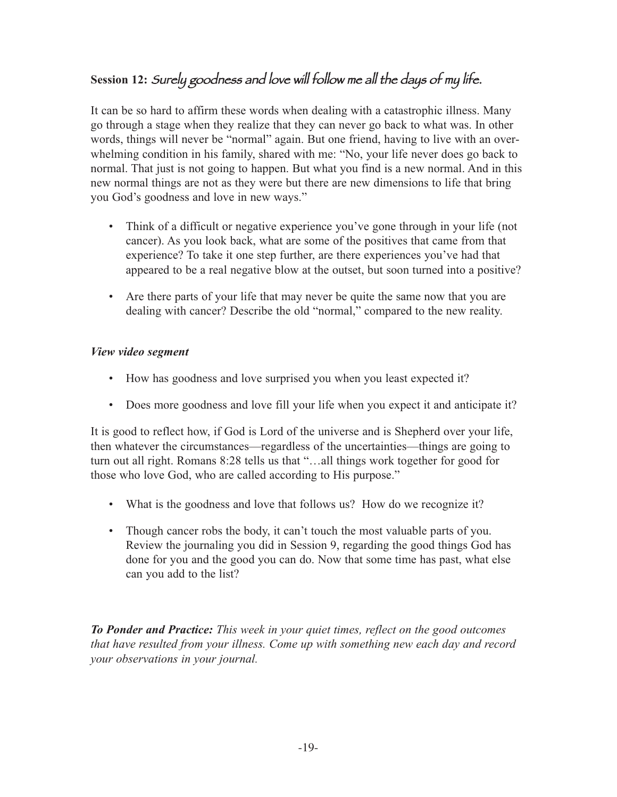### **Session 12:** Surely goodness and love will follow me all the days of my life.

It can be so hard to affirm these words when dealing with a catastrophic illness. Many go through a stage when they realize that they can never go back to what was. In other words, things will never be "normal" again. But one friend, having to live with an overwhelming condition in his family, shared with me: "No, your life never does go back to normal. That just is not going to happen. But what you find is a new normal. And in this new normal things are not as they were but there are new dimensions to life that bring you God's goodness and love in new ways."

- Think of a difficult or negative experience you've gone through in your life (not cancer). As you look back, what are some of the positives that came from that experience? To take it one step further, are there experiences you've had that appeared to be a real negative blow at the outset, but soon turned into a positive?
- Are there parts of your life that may never be quite the same now that you are dealing with cancer? Describe the old "normal," compared to the new reality.

#### *View video segment*

- How has goodness and love surprised you when you least expected it?
- Does more goodness and love fill your life when you expect it and anticipate it?

It is good to reflect how, if God is Lord of the universe and is Shepherd over your life, then whatever the circumstances—regardless of the uncertainties—things are going to turn out all right. Romans 8:28 tells us that "…all things work together for good for those who love God, who are called according to His purpose."

- What is the goodness and love that follows us? How do we recognize it?
- Though cancer robs the body, it can't touch the most valuable parts of you. Review the journaling you did in Session 9, regarding the good things God has done for you and the good you can do. Now that some time has past, what else can you add to the list?

*To Ponder and Practice: This week in your quiet times, reflect on the good outcomes that have resulted from your illness. Come up with something new each day and record your observations in your journal.*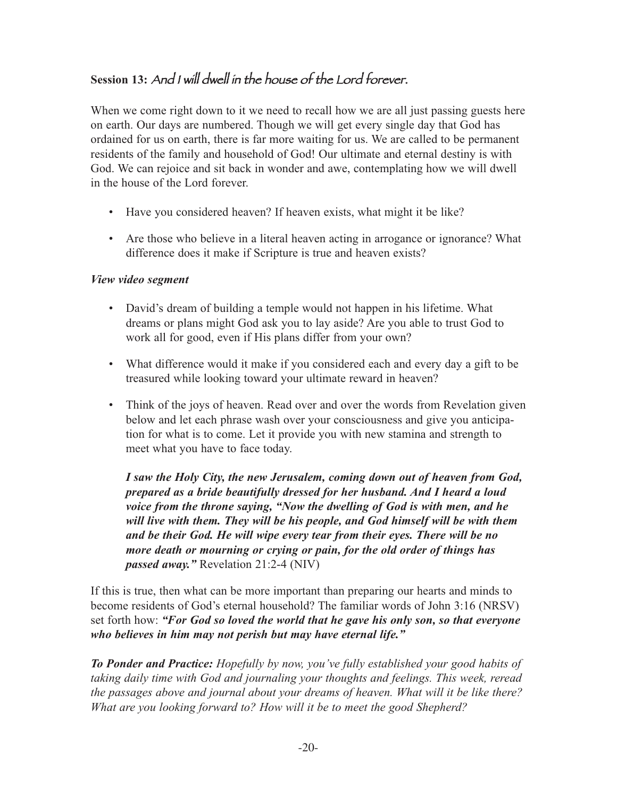### **Session 13:** And <sup>I</sup> will dwell in the house of the Lord forever.

When we come right down to it we need to recall how we are all just passing guests here on earth. Our days are numbered. Though we will get every single day that God has ordained for us on earth, there is far more waiting for us. We are called to be permanent residents of the family and household of God! Our ultimate and eternal destiny is with God. We can rejoice and sit back in wonder and awe, contemplating how we will dwell in the house of the Lord forever.

- Have you considered heaven? If heaven exists, what might it be like?
- Are those who believe in a literal heaven acting in arrogance or ignorance? What difference does it make if Scripture is true and heaven exists?

### *View video segment*

- David's dream of building a temple would not happen in his lifetime. What dreams or plans might God ask you to lay aside? Are you able to trust God to work all for good, even if His plans differ from your own?
- What difference would it make if you considered each and every day a gift to be treasured while looking toward your ultimate reward in heaven?
- Think of the joys of heaven. Read over and over the words from Revelation given below and let each phrase wash over your consciousness and give you anticipation for what is to come. Let it provide you with new stamina and strength to meet what you have to face today.

*I saw the Holy City, the new Jerusalem, coming down out of heaven from God, prepared as a bride beautifully dressed for her husband. And I heard a loud voice from the throne saying, "Now the dwelling of God is with men, and he will live with them. They will be his people, and God himself will be with them and be their God. He will wipe every tear from their eyes. There will be no more death or mourning or crying or pain, for the old order of things has passed away."* Revelation 21:2-4 (NIV)

If this is true, then what can be more important than preparing our hearts and minds to become residents of God's eternal household? The familiar words of John 3:16 (NRSV) set forth how: *"For God so loved the world that he gave his only son, so that everyone who believes in him may not perish but may have eternal life."*

*To Ponder and Practice: Hopefully by now, you've fully established your good habits of taking daily time with God and journaling your thoughts and feelings. This week, reread the passages above and journal about your dreams of heaven. What will it be like there? What are you looking forward to? How will it be to meet the good Shepherd?*